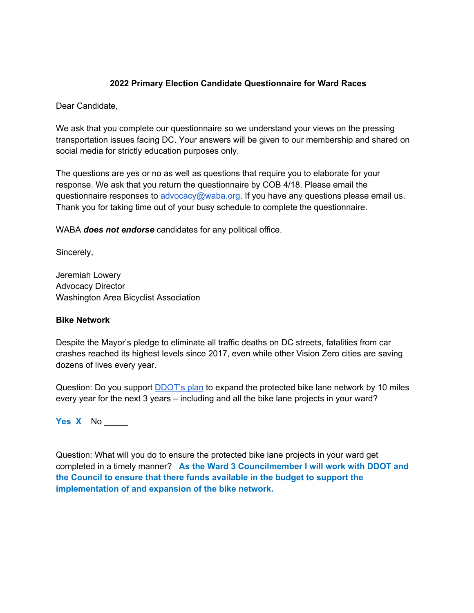# **2022 Primary Election Candidate Questionnaire for Ward Races**

Dear Candidate,

We ask that you complete our questionnaire so we understand your views on the pressing transportation issues facing DC. Your answers will be given to our membership and shared on social media for strictly education purposes only.

The questions are yes or no as well as questions that require you to elaborate for your response. We ask that you return the questionnaire by COB 4/18. Please email the questionnaire responses to advocacy@waba.org. If you have any questions please email us. Thank you for taking time out of your busy schedule to complete the questionnaire.

WABA *does not endorse* candidates for any political office.

Sincerely,

Jeremiah Lowery Advocacy Director Washington Area Bicyclist Association

### **Bike Network**

Despite the Mayor's pledge to eliminate all traffic deaths on DC streets, fatalities from car crashes reached its highest levels since 2017, even while other Vision Zero cities are saving dozens of lives every year.

Question: Do you support DDOT's plan to expand the protected bike lane network by 10 miles every year for the next 3 years – including and all the bike lane projects in your ward?

**Yes X** No \_\_\_\_\_

Question: What will you do to ensure the protected bike lane projects in your ward get completed in a timely manner? **As the Ward 3 Councilmember I will work with DDOT and the Council to ensure that there funds available in the budget to support the implementation of and expansion of the bike network.**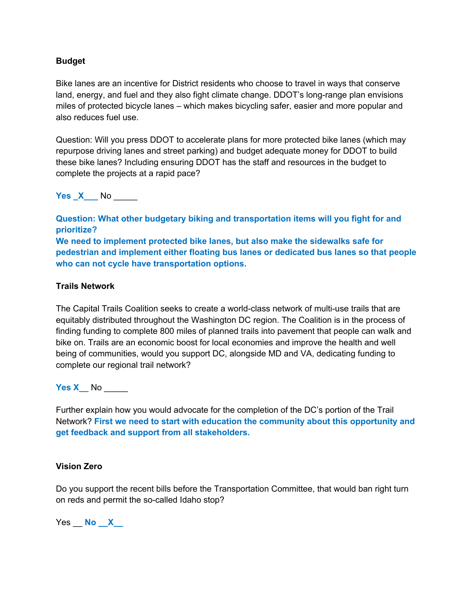## **Budget**

Bike lanes are an incentive for District residents who choose to travel in ways that conserve land, energy, and fuel and they also fight climate change. DDOT's long-range plan envisions miles of protected bicycle lanes – which makes bicycling safer, easier and more popular and also reduces fuel use.

Question: Will you press DDOT to accelerate plans for more protected bike lanes (which may repurpose driving lanes and street parking) and budget adequate money for DDOT to build these bike lanes? Including ensuring DDOT has the staff and resources in the budget to complete the projects at a rapid pace?

**Yes X** No

**Question: What other budgetary biking and transportation items will you fight for and prioritize? We need to implement protected bike lanes, but also make the sidewalks safe for pedestrian and implement either floating bus lanes or dedicated bus lanes so that people who can not cycle have transportation options.** 

### **Trails Network**

The Capital Trails Coalition seeks to create a world-class network of multi-use trails that are equitably distributed throughout the Washington DC region. The Coalition is in the process of finding funding to complete 800 miles of planned trails into pavement that people can walk and bike on. Trails are an economic boost for local economies and improve the health and well being of communities, would you support DC, alongside MD and VA, dedicating funding to complete our regional trail network?

**Yes X** No

Further explain how you would advocate for the completion of the DC's portion of the Trail Network? **First we need to start with education the community about this opportunity and get feedback and support from all stakeholders.**

#### **Vision Zero**

Do you support the recent bills before the Transportation Committee, that would ban right turn on reds and permit the so-called Idaho stop?

Yes **No X**